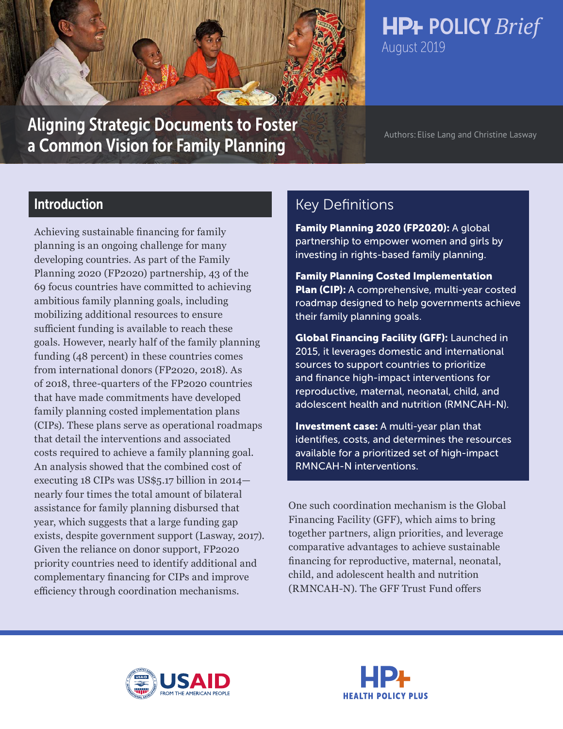

**HP+ POLICY Brief** August 2019

# Aligning Strategic Documents to Foster Authors: Elise Lang and Christine Lasway a Common Vision for Family Planning

# Introduction

Achieving sustainable financing for family planning is an ongoing challenge for many developing countries. As part of the Family Planning 2020 (FP2020) partnership, 43 of the 69 focus countries have committed to achieving ambitious family planning goals, including mobilizing additional resources to ensure sufficient funding is available to reach these goals. However, nearly half of the family planning funding (48 percent) in these countries comes from international donors (FP2020, 2018). As of 2018, three-quarters of the FP2020 countries that have made commitments have developed family planning costed implementation plans (CIPs). These plans serve as operational roadmaps that detail the interventions and associated costs required to achieve a family planning goal. An analysis showed that the combined cost of executing 18 CIPs was US\$5.17 billion in 2014 nearly four times the total amount of bilateral assistance for family planning disbursed that year, which suggests that a large funding gap exists, despite government support (Lasway, 2017). Given the reliance on donor support, FP2020 priority countries need to identify additional and complementary financing for CIPs and improve efficiency through coordination mechanisms.

# Key Definitions

[Family Planning 2020 \(FP2020\):](https://www.familyplanning2020.org/) A global partnership to empower women and girls by investing in rights-based family planning.

[Family Planning Costed Implementation](http://www.healthpolicyplus.com/CIP.cfm)  [Plan \(CIP\):](http://www.healthpolicyplus.com/CIP.cfm) A comprehensive, multi-year costed roadmap designed to help governments achieve their family planning goals.

[Global Financing Facility \(GFF\):](https://www.globalfinancingfacility.org/) Launched in 2015, it leverages domestic and international sources to support countries to prioritize and finance high-impact interventions for reproductive, maternal, neonatal, child, and adolescent health and nutrition (RMNCAH-N).

Investment case: A multi-year plan that identifies, costs, and determines the resources available for a prioritized set of high-impact RMNCAH-N interventions.

One such coordination mechanism is the Global Financing Facility (GFF), which aims to bring together partners, align priorities, and leverage comparative advantages to achieve sustainable financing for reproductive, maternal, neonatal, child, and adolescent health and nutrition (RMNCAH-N). The GFF Trust Fund offers



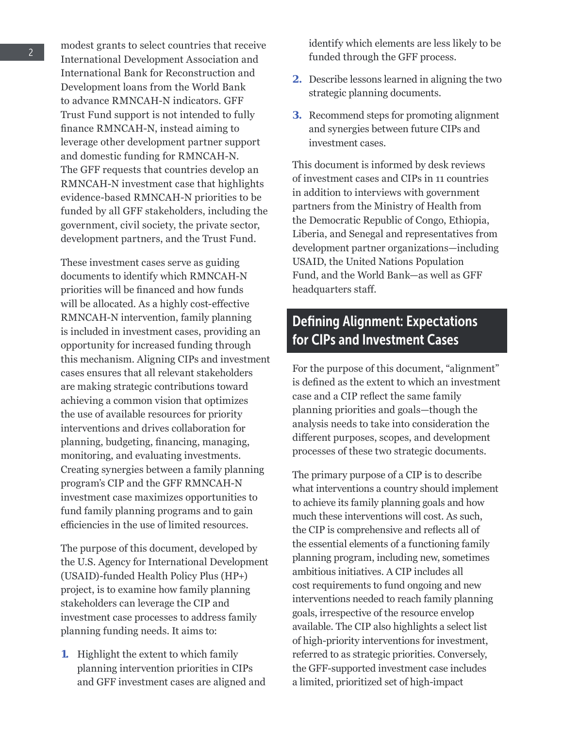modest grants to select countries that receive International Development Association and International Bank for Reconstruction and Development loans from the World Bank to advance RMNCAH-N indicators. GFF Trust Fund support is not intended to fully finance RMNCAH-N, instead aiming to leverage other development partner support and domestic funding for RMNCAH-N. The GFF requests that countries develop an RMNCAH-N investment case that highlights evidence-based RMNCAH-N priorities to be funded by all GFF stakeholders, including the government, civil society, the private sector, development partners, and the Trust Fund.

These investment cases serve as guiding documents to identify which RMNCAH-N priorities will be financed and how funds will be allocated. As a highly cost-effective RMNCAH-N intervention, family planning is included in investment cases, providing an opportunity for increased funding through this mechanism. Aligning CIPs and investment cases ensures that all relevant stakeholders are making strategic contributions toward achieving a common vision that optimizes the use of available resources for priority interventions and drives collaboration for planning, budgeting, financing, managing, monitoring, and evaluating investments. Creating synergies between a family planning program's CIP and the GFF RMNCAH-N investment case maximizes opportunities to fund family planning programs and to gain efficiencies in the use of limited resources.

The purpose of this document, developed by the U.S. Agency for International Development (USAID)-funded Health Policy Plus (HP+) project, is to examine how family planning stakeholders can leverage the CIP and investment case processes to address family planning funding needs. It aims to:

**1.** Highlight the extent to which family planning intervention priorities in CIPs and GFF investment cases are aligned and

identify which elements are less likely to be funded through the GFF process.

- **2.** Describe lessons learned in aligning the two strategic planning documents.
- **3.** Recommend steps for promoting alignment and synergies between future CIPs and investment cases.

This document is informed by desk reviews of investment cases and CIPs in 11 countries in addition to interviews with government partners from the Ministry of Health from the Democratic Republic of Congo, Ethiopia, Liberia, and Senegal and representatives from development partner organizations—including USAID, the United Nations Population Fund, and the World Bank—as well as GFF headquarters staff.

# Defining Alignment: Expectations for CIPs and Investment Cases

For the purpose of this document, "alignment" is defined as the extent to which an investment case and a CIP reflect the same family planning priorities and goals—though the analysis needs to take into consideration the different purposes, scopes, and development processes of these two strategic documents.

The primary purpose of a CIP is to describe what interventions a country should implement to achieve its family planning goals and how much these interventions will cost. As such, the CIP is comprehensive and reflects all of the essential elements of a functioning family planning program, including new, sometimes ambitious initiatives. A CIP includes all cost requirements to fund ongoing and new interventions needed to reach family planning goals, irrespective of the resource envelop available. The CIP also highlights a select list of high-priority interventions for investment, referred to as strategic priorities. Conversely, the GFF-supported investment case includes a limited, prioritized set of high-impact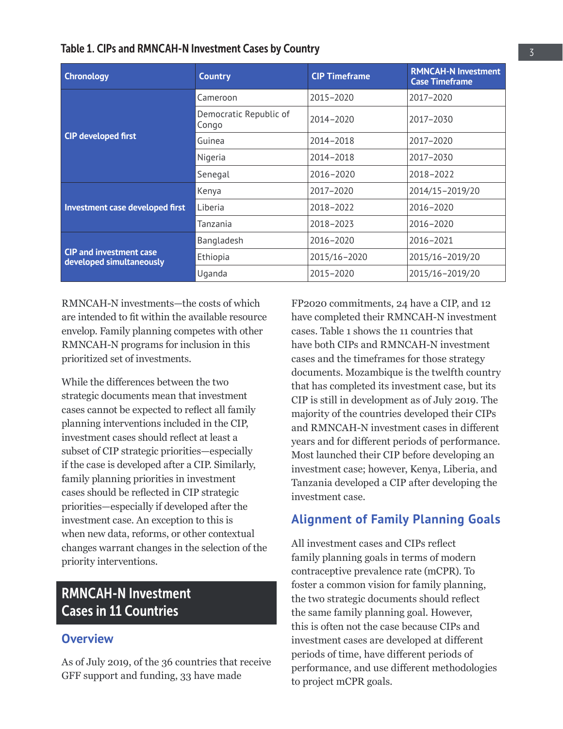| Table 1. CIPs and RMNCAH-N Investment Cases by Country |  |  |
|--------------------------------------------------------|--|--|
|--------------------------------------------------------|--|--|

| <b>Chronology</b>                                          | <b>Country</b>                  | <b>CIP Timeframe</b> | <b>RMNCAH-N Investment</b><br><b>Case Timeframe</b> |
|------------------------------------------------------------|---------------------------------|----------------------|-----------------------------------------------------|
|                                                            | Cameroon                        | 2015-2020            | 2017-2020                                           |
|                                                            | Democratic Republic of<br>Congo | 2014-2020            | 2017-2030                                           |
| <b>CIP developed first</b>                                 | Guinea                          | 2014-2018            | 2017-2020                                           |
|                                                            | Nigeria                         | 2014-2018            | 2017-2030                                           |
|                                                            | Senegal                         | 2016-2020            | 2018-2022                                           |
|                                                            | Kenya                           | 2017-2020            | 2014/15-2019/20                                     |
| Investment case developed first                            | Liberia                         | 2018-2022            | 2016-2020                                           |
|                                                            | Tanzania                        | 2018-2023            | 2016-2020                                           |
|                                                            | Bangladesh                      | 2016-2020            | 2016-2021                                           |
| <b>CIP</b> and investment case<br>developed simultaneously | Ethiopia                        | 2015/16-2020         | 2015/16-2019/20                                     |
|                                                            | Uganda                          | 2015-2020            | 2015/16-2019/20                                     |

RMNCAH-N investments—the costs of which are intended to fit within the available resource envelop. Family planning competes with other RMNCAH-N programs for inclusion in this prioritized set of investments.

While the differences between the two strategic documents mean that investment cases cannot be expected to reflect all family planning interventions included in the CIP, investment cases should reflect at least a subset of CIP strategic priorities—especially if the case is developed after a CIP. Similarly, family planning priorities in investment cases should be reflected in CIP strategic priorities—especially if developed after the investment case. An exception to this is when new data, reforms, or other contextual changes warrant changes in the selection of the priority interventions.

# RMNCAH-N Investment Cases in 11 Countries

# **Overview**

As of July 2019, of the 36 countries that receive GFF support and funding, 33 have made

FP2020 commitments, 24 have a CIP, and 12 have completed their RMNCAH-N investment cases. Table 1 shows the 11 countries that have both CIPs and RMNCAH-N investment cases and the timeframes for those strategy documents. Mozambique is the twelfth country that has completed its investment case, but its CIP is still in development as of July 2019. The majority of the countries developed their CIPs and RMNCAH-N investment cases in different years and for different periods of performance. Most launched their CIP before developing an investment case; however, Kenya, Liberia, and Tanzania developed a CIP after developing the investment case.

# **Alignment of Family Planning Goals**

All investment cases and CIPs reflect family planning goals in terms of modern contraceptive prevalence rate (mCPR). To foster a common vision for family planning, the two strategic documents should reflect the same family planning goal. However, this is often not the case because CIPs and investment cases are developed at different periods of time, have different periods of performance, and use different methodologies to project mCPR goals.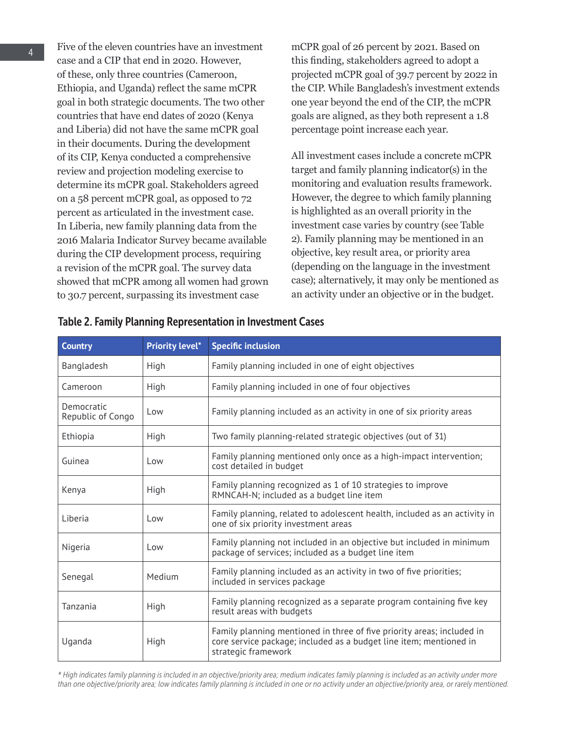Five of the eleven countries have an investment case and a CIP that end in 2020. However, of these, only three countries (Cameroon, Ethiopia, and Uganda) reflect the same mCPR goal in both strategic documents. The two other countries that have end dates of 2020 (Kenya and Liberia) did not have the same mCPR goal in their documents. During the development of its CIP, Kenya conducted a comprehensive review and projection modeling exercise to determine its mCPR goal. Stakeholders agreed on a 58 percent mCPR goal, as opposed to 72 percent as articulated in the investment case. In Liberia, new family planning data from the 2016 Malaria Indicator Survey became available during the CIP development process, requiring a revision of the mCPR goal. The survey data showed that mCPR among all women had grown to 30.7 percent, surpassing its investment case

mCPR goal of 26 percent by 2021. Based on this finding, stakeholders agreed to adopt a projected mCPR goal of 39.7 percent by 2022 in the CIP. While Bangladesh's investment extends one year beyond the end of the CIP, the mCPR goals are aligned, as they both represent a 1.8 percentage point increase each year.

All investment cases include a concrete mCPR target and family planning indicator(s) in the monitoring and evaluation results framework. However, the degree to which family planning is highlighted as an overall priority in the investment case varies by country (see Table 2). Family planning may be mentioned in an objective, key result area, or priority area (depending on the language in the investment case); alternatively, it may only be mentioned as an activity under an objective or in the budget.

| <b>Country</b>                  | <b>Priority level*</b> | <b>Specific inclusion</b>                                                                                                                                           |  |
|---------------------------------|------------------------|---------------------------------------------------------------------------------------------------------------------------------------------------------------------|--|
| Bangladesh                      | High                   | Family planning included in one of eight objectives                                                                                                                 |  |
| Cameroon                        | High                   | Family planning included in one of four objectives                                                                                                                  |  |
| Democratic<br>Republic of Congo | l ow                   | Family planning included as an activity in one of six priority areas                                                                                                |  |
| Ethiopia                        | High                   | Two family planning-related strategic objectives (out of 31)                                                                                                        |  |
| Guinea                          | Low                    | Family planning mentioned only once as a high-impact intervention;<br>cost detailed in budget                                                                       |  |
| Kenya                           | High                   | Family planning recognized as 1 of 10 strategies to improve<br>RMNCAH-N; included as a budget line item                                                             |  |
| Liberia                         | Low                    | Family planning, related to adolescent health, included as an activity in<br>one of six priority investment areas                                                   |  |
| Nigeria                         | Low                    | Family planning not included in an objective but included in minimum<br>package of services; included as a budget line item                                         |  |
| Senegal                         | Medium                 | Family planning included as an activity in two of five priorities;<br>included in services package                                                                  |  |
| Tanzania                        | High                   | Family planning recognized as a separate program containing five key<br>result areas with budgets                                                                   |  |
| Uganda                          | High                   | Family planning mentioned in three of five priority areas; included in<br>core service package; included as a budget line item; mentioned in<br>strategic framework |  |

#### Table 2. Family Planning Representation in Investment Cases

*\* High indicates family planning is included in an objective/priority area; medium indicates family planning is included as an activity under more than one objective/priority area; low indicates family planning is included in one or no activity under an objective/priority area, or rarely mentioned.*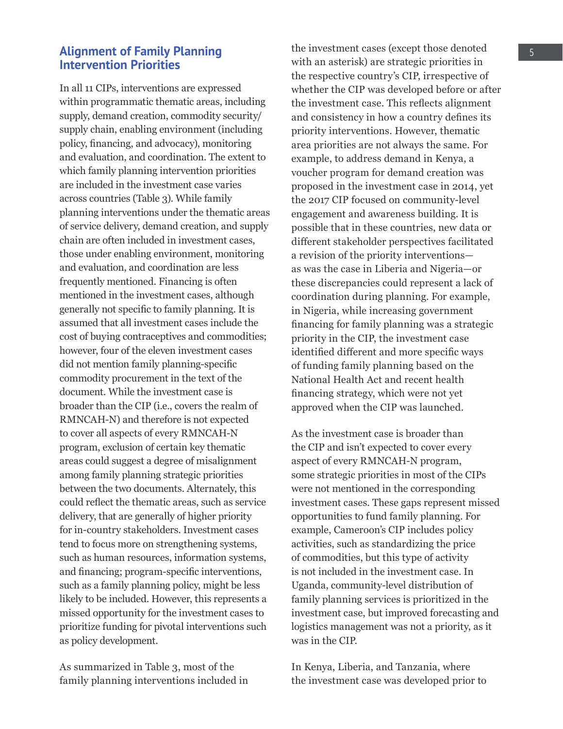## **Alignment of Family Planning Intervention Priorities**

In all 11 CIPs, interventions are expressed within programmatic thematic areas, including supply, demand creation, commodity security/ supply chain, enabling environment (including policy, financing, and advocacy), monitoring and evaluation, and coordination. The extent to which family planning intervention priorities are included in the investment case varies across countries (Table 3). While family planning interventions under the thematic areas of service delivery, demand creation, and supply chain are often included in investment cases, those under enabling environment, monitoring and evaluation, and coordination are less frequently mentioned. Financing is often mentioned in the investment cases, although generally not specific to family planning. It is assumed that all investment cases include the cost of buying contraceptives and commodities; however, four of the eleven investment cases did not mention family planning-specific commodity procurement in the text of the document. While the investment case is broader than the CIP (i.e., covers the realm of RMNCAH-N) and therefore is not expected to cover all aspects of every RMNCAH-N program, exclusion of certain key thematic areas could suggest a degree of misalignment among family planning strategic priorities between the two documents. Alternately, this could reflect the thematic areas, such as service delivery, that are generally of higher priority for in-country stakeholders. Investment cases tend to focus more on strengthening systems, such as human resources, information systems, and financing; program-specific interventions, such as a family planning policy, might be less likely to be included. However, this represents a missed opportunity for the investment cases to prioritize funding for pivotal interventions such as policy development.

As summarized in Table 3, most of the family planning interventions included in the investment cases (except those denoted with an asterisk) are strategic priorities in the respective country's CIP, irrespective of whether the CIP was developed before or after the investment case. This reflects alignment and consistency in how a country defines its priority interventions. However, thematic area priorities are not always the same. For example, to address demand in Kenya, a voucher program for demand creation was proposed in the investment case in 2014, yet the 2017 CIP focused on community-level engagement and awareness building. It is possible that in these countries, new data or different stakeholder perspectives facilitated a revision of the priority interventions as was the case in Liberia and Nigeria—or these discrepancies could represent a lack of coordination during planning. For example, in Nigeria, while increasing government financing for family planning was a strategic priority in the CIP, the investment case identified different and more specific ways of funding family planning based on the National Health Act and recent health financing strategy, which were not yet approved when the CIP was launched.

As the investment case is broader than the CIP and isn't expected to cover every aspect of every RMNCAH-N program, some strategic priorities in most of the CIPs were not mentioned in the corresponding investment cases. These gaps represent missed opportunities to fund family planning. For example, Cameroon's CIP includes policy activities, such as standardizing the price of commodities, but this type of activity is not included in the investment case. In Uganda, community-level distribution of family planning services is prioritized in the investment case, but improved forecasting and logistics management was not a priority, as it was in the CIP.

In Kenya, Liberia, and Tanzania, where the investment case was developed prior to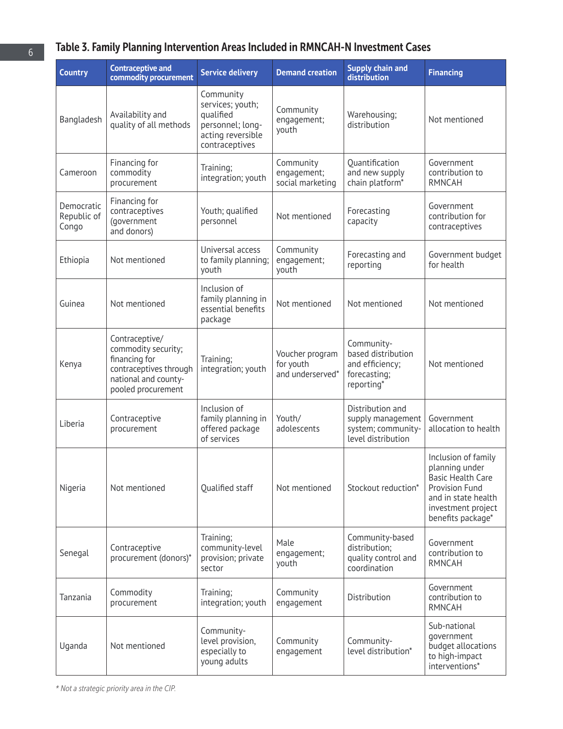# Table 3. Family Planning Intervention Areas Included in RMNCAH-N Investment Cases

| <b>Country</b>                     | <b>Contraceptive and</b><br>commodity procurement                                                                              | <b>Service delivery</b>                                                                               | <b>Demand creation</b>                           | <b>Supply chain and</b><br>distribution                                           | <b>Financing</b>                                                                                                                                             |
|------------------------------------|--------------------------------------------------------------------------------------------------------------------------------|-------------------------------------------------------------------------------------------------------|--------------------------------------------------|-----------------------------------------------------------------------------------|--------------------------------------------------------------------------------------------------------------------------------------------------------------|
| Bangladesh                         | Availability and<br>quality of all methods                                                                                     | Community<br>services; youth;<br>qualified<br>personnel; long-<br>acting reversible<br>contraceptives | Community<br>engagement;<br>youth                | Warehousing;<br>distribution                                                      | Not mentioned                                                                                                                                                |
| Cameroon                           | Financing for<br>commodity<br>procurement                                                                                      | Training;<br>integration; youth                                                                       | Community<br>engagement;<br>social marketing     | Ouantification<br>and new supply<br>chain platform*                               | Government<br>contribution to<br><b>RMNCAH</b>                                                                                                               |
| Democratic<br>Republic of<br>Congo | Financing for<br>contraceptives<br>(government<br>and donors)                                                                  | Youth; qualified<br>personnel                                                                         | Not mentioned                                    | Forecasting<br>capacity                                                           | Government<br>contribution for<br>contraceptives                                                                                                             |
| Ethiopia                           | Not mentioned                                                                                                                  | Universal access<br>to family planning;<br>youth                                                      | Community<br>engagement;<br>youth                | Forecasting and<br>reporting                                                      | Government budget<br>for health                                                                                                                              |
| Guinea                             | Not mentioned                                                                                                                  | Inclusion of<br>family planning in<br>essential benefits<br>package                                   | Not mentioned                                    | Not mentioned                                                                     | Not mentioned                                                                                                                                                |
| Kenya                              | Contraceptive/<br>commodity security;<br>financing for<br>contraceptives through<br>national and county-<br>pooled procurement | Training;<br>integration; youth                                                                       | Voucher program<br>for youth<br>and underserved* | Community-<br>based distribution<br>and efficiency;<br>forecasting;<br>reporting* | Not mentioned                                                                                                                                                |
| Liberia                            | Contraceptive<br>procurement                                                                                                   | Inclusion of<br>family planning in<br>offered package<br>of services                                  | Youth/<br>adolescents                            | Distribution and<br>supply management<br>system; community-<br>level distribution | Government<br>allocation to health                                                                                                                           |
| Nigeria                            | Not mentioned                                                                                                                  | Qualified staff                                                                                       | Not mentioned                                    | Stockout reduction*                                                               | Inclusion of family<br>planning under<br><b>Basic Health Care</b><br><b>Provision Fund</b><br>and in state health<br>investment project<br>benefits package* |
| Senegal                            | Contraceptive<br>procurement (donors)*                                                                                         | Training;<br>community-level<br>provision; private<br>sector                                          | Male<br>engagement;<br>youth                     | Community-based<br>distribution;<br>quality control and<br>coordination           | Government<br>contribution to<br><b>RMNCAH</b>                                                                                                               |
| Tanzania                           | Commodity<br>procurement                                                                                                       | Training;<br>integration; youth                                                                       | Community<br>engagement                          | Distribution                                                                      | Government<br>contribution to<br><b>RMNCAH</b>                                                                                                               |
| Uganda                             | Not mentioned                                                                                                                  | Community-<br>level provision,<br>especially to<br>young adults                                       | Community<br>engagement                          | Community-<br>level distribution*                                                 | Sub-national<br>government<br>budget allocations<br>to high-impact<br>interventions*                                                                         |

*\* Not a strategic priority area in the CIP.*

6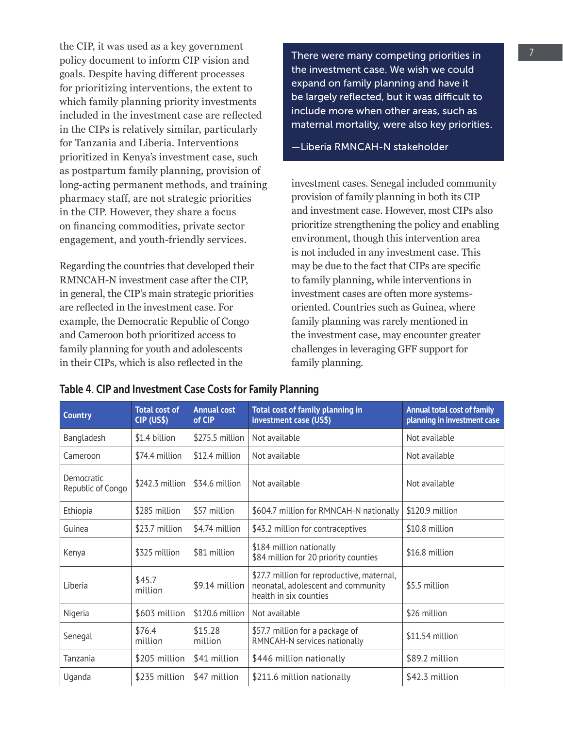the CIP, it was used as a key government policy document to inform CIP vision and goals. Despite having different processes for prioritizing interventions, the extent to which family planning priority investments included in the investment case are reflected in the CIPs is relatively similar, particularly for Tanzania and Liberia. Interventions prioritized in Kenya's investment case, such as postpartum family planning, provision of long-acting permanent methods, and training pharmacy staff, are not strategic priorities in the CIP. However, they share a focus on financing commodities, private sector engagement, and youth-friendly services.

Regarding the countries that developed their RMNCAH-N investment case after the CIP, in general, the CIP's main strategic priorities are reflected in the investment case. For example, the Democratic Republic of Congo and Cameroon both prioritized access to family planning for youth and adolescents in their CIPs, which is also reflected in the

There were many competing priorities in the investment case. We wish we could expand on family planning and have it be largely reflected, but it was difficult to include more when other areas, such as maternal mortality, were also key priorities.

—Liberia RMNCAH-N stakeholder

investment cases. Senegal included community provision of family planning in both its CIP and investment case. However, most CIPs also prioritize strengthening the policy and enabling environment, though this intervention area is not included in any investment case. This may be due to the fact that CIPs are specific to family planning, while interventions in investment cases are often more systemsoriented. Countries such as Guinea, where family planning was rarely mentioned in the investment case, may encounter greater challenges in leveraging GFF support for family planning.

| <b>Country</b>                  | <b>Total cost of</b><br>CIP (US\$) | <b>Annual cost</b><br>of CIP | Total cost of family planning in<br>investment case (US\$)                                                 | <b>Annual total cost of family</b><br>planning in investment case |
|---------------------------------|------------------------------------|------------------------------|------------------------------------------------------------------------------------------------------------|-------------------------------------------------------------------|
| Bangladesh                      | \$1.4 billion                      | \$275.5 million              | Not available                                                                                              | Not available                                                     |
| Cameroon                        | \$74.4 million                     | \$12.4 million               | Not available                                                                                              | Not available                                                     |
| Democratic<br>Republic of Congo | \$242.3 million                    | \$34.6 million               | Not available                                                                                              | Not available                                                     |
| Ethiopia                        | \$285 million                      | \$57 million                 | \$604.7 million for RMNCAH-N nationally                                                                    | \$120.9 million                                                   |
| Guinea                          | \$23.7 million                     | \$4.74 million               | \$43.2 million for contraceptives                                                                          | \$10.8 million                                                    |
| Kenya                           | \$325 million                      | \$81 million                 | \$184 million nationally<br>\$84 million for 20 priority counties                                          | \$16.8 million                                                    |
| Liberia                         | \$45.7<br>million                  | \$9.14 million               | \$27.7 million for reproductive, maternal,<br>neonatal, adolescent and community<br>health in six counties | \$5.5 million                                                     |
| Nigeria                         | \$603 million                      | \$120.6 million              | Not available                                                                                              | \$26 million                                                      |
| Senegal                         | \$76.4<br>million                  | \$15.28<br>million           | \$57.7 million for a package of<br>RMNCAH-N services nationally                                            | \$11.54 million                                                   |
| Tanzania                        | \$205 million                      | \$41 million                 | \$446 million nationally                                                                                   | \$89.2 million                                                    |
| Uganda                          | \$235 million                      | \$47 million                 | \$211.6 million nationally                                                                                 | \$42.3 million                                                    |

#### Table 4. CIP and Investment Case Costs for Family Planning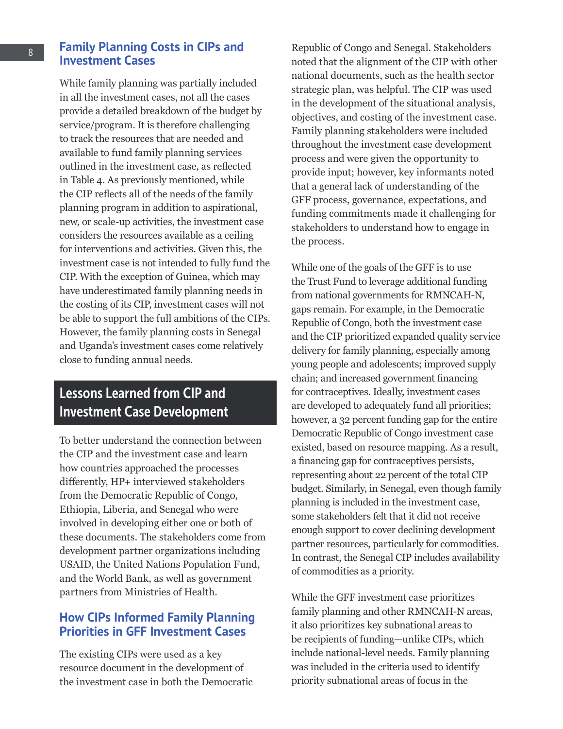## **Family Planning Costs in CIPs and Investment Cases**

While family planning was partially included in all the investment cases, not all the cases provide a detailed breakdown of the budget by service/program. It is therefore challenging to track the resources that are needed and available to fund family planning services outlined in the investment case, as reflected in Table 4. As previously mentioned, while the CIP reflects all of the needs of the family planning program in addition to aspirational, new, or scale-up activities, the investment case considers the resources available as a ceiling for interventions and activities. Given this, the investment case is not intended to fully fund the CIP. With the exception of Guinea, which may have underestimated family planning needs in the costing of its CIP, investment cases will not be able to support the full ambitions of the CIPs. However, the family planning costs in Senegal and Uganda's investment cases come relatively close to funding annual needs.

# Lessons Learned from CIP and Investment Case Development

To better understand the connection between the CIP and the investment case and learn how countries approached the processes differently, HP+ interviewed stakeholders from the Democratic Republic of Congo, Ethiopia, Liberia, and Senegal who were involved in developing either one or both of these documents. The stakeholders come from development partner organizations including USAID, the United Nations Population Fund, and the World Bank, as well as government partners from Ministries of Health.

## **How CIPs Informed Family Planning Priorities in GFF Investment Cases**

The existing CIPs were used as a key resource document in the development of the investment case in both the Democratic

Republic of Congo and Senegal. Stakeholders noted that the alignment of the CIP with other national documents, such as the health sector strategic plan, was helpful. The CIP was used in the development of the situational analysis, objectives, and costing of the investment case. Family planning stakeholders were included throughout the investment case development process and were given the opportunity to provide input; however, key informants noted that a general lack of understanding of the GFF process, governance, expectations, and funding commitments made it challenging for stakeholders to understand how to engage in the process.

While one of the goals of the GFF is to use the Trust Fund to leverage additional funding from national governments for RMNCAH-N, gaps remain. For example, in the Democratic Republic of Congo, both the investment case and the CIP prioritized expanded quality service delivery for family planning, especially among young people and adolescents; improved supply chain; and increased government financing for contraceptives. Ideally, investment cases are developed to adequately fund all priorities; however, a 32 percent funding gap for the entire Democratic Republic of Congo investment case existed, based on resource mapping. As a result, a financing gap for contraceptives persists, representing about 22 percent of the total CIP budget. Similarly, in Senegal, even though family planning is included in the investment case, some stakeholders felt that it did not receive enough support to cover declining development partner resources, particularly for commodities. In contrast, the Senegal CIP includes availability of commodities as a priority.

While the GFF investment case prioritizes family planning and other RMNCAH-N areas, it also prioritizes key subnational areas to be recipients of funding—unlike CIPs, which include national-level needs. Family planning was included in the criteria used to identify priority subnational areas of focus in the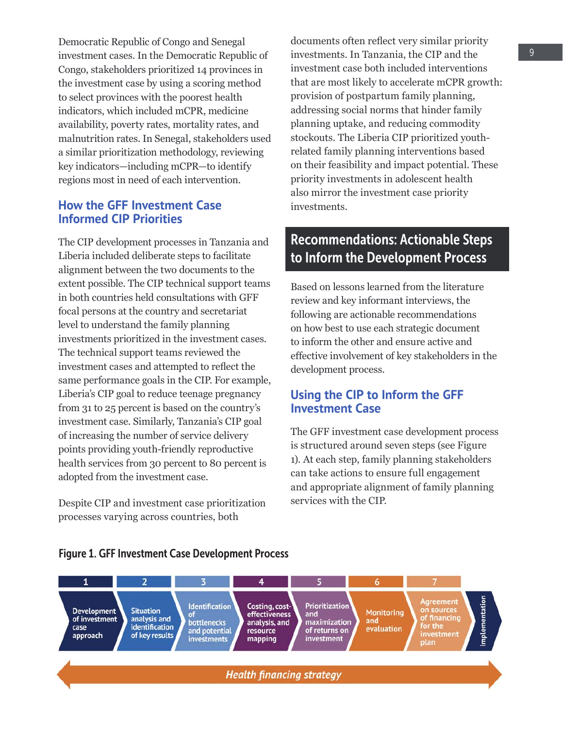Democratic Republic of Congo and Senegal investment cases. In the Democratic Republic of Congo, stakeholders prioritized 14 provinces in the investment case by using a scoring method to select provinces with the poorest health indicators, which included mCPR, medicine availability, poverty rates, mortality rates, and malnutrition rates. In Senegal, stakeholders used a similar prioritization methodology, reviewing key indicators—including mCPR—to identify regions most in need of each intervention.

## **How the GFF Investment Case Informed CIP Priorities**

The CIP development processes in Tanzania and Liberia included deliberate steps to facilitate alignment between the two documents to the extent possible. The CIP technical support teams in both countries held consultations with GFF focal persons at the country and secretariat level to understand the family planning investments prioritized in the investment cases. The technical support teams reviewed the investment cases and attempted to reflect the same performance goals in the CIP. For example, Liberia's CIP goal to reduce teenage pregnancy from 31 to 25 percent is based on the country's investment case. Similarly, Tanzania's CIP goal of increasing the number of service delivery points providing youth-friendly reproductive health services from 30 percent to 80 percent is adopted from the investment case.

Despite CIP and investment case prioritization processes varying across countries, both

documents often reflect very similar priority investments. In Tanzania, the CIP and the investment case both included interventions that are most likely to accelerate mCPR growth: provision of postpartum family planning, addressing social norms that hinder family planning uptake, and reducing commodity stockouts. The Liberia CIP prioritized youthrelated family planning interventions based on their feasibility and impact potential. These priority investments in adolescent health also mirror the investment case priority investments.

# Recommendations: Actionable Steps to Inform the Development Process

Based on lessons learned from the literature review and key informant interviews, the following are actionable recommendations on how best to use each strategic document to inform the other and ensure active and effective involvement of key stakeholders in the development process.

## **Using the CIP to Inform the GFF Investment Case**

The GFF investment case development process is structured around seven steps (see Figure 1). At each step, family planning stakeholders can take actions to ensure full engagement and appropriate alignment of family planning services with the CIP.



#### Figure 1. GFF Investment Case Development Process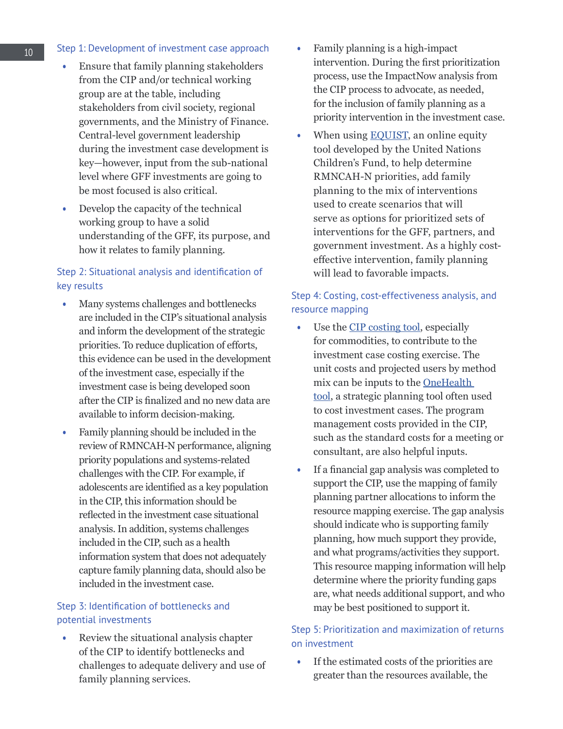#### Step 1: Development of investment case approach

- Ensure that family planning stakeholders from the CIP and/or technical working group are at the table, including stakeholders from civil society, regional governments, and the Ministry of Finance. Central-level government leadership during the investment case development is key—however, input from the sub-national level where GFF investments are going to be most focused is also critical.
- Develop the capacity of the technical working group to have a solid understanding of the GFF, its purpose, and how it relates to family planning.

#### Step 2: Situational analysis and identification of key results

- Many systems challenges and bottlenecks are included in the CIP's situational analysis and inform the development of the strategic priorities. To reduce duplication of efforts, this evidence can be used in the development of the investment case, especially if the investment case is being developed soon after the CIP is finalized and no new data are available to inform decision-making.
- Family planning should be included in the review of RMNCAH-N performance, aligning priority populations and systems-related challenges with the CIP. For example, if adolescents are identified as a key population in the CIP, this information should be reflected in the investment case situational analysis. In addition, systems challenges included in the CIP, such as a health information system that does not adequately capture family planning data, should also be included in the investment case.

#### Step 3: Identification of bottlenecks and potential investments

• Review the situational analysis chapter of the CIP to identify bottlenecks and challenges to adequate delivery and use of family planning services.

- Family planning is a high-impact intervention. During the first prioritization process, use the ImpactNow analysis from the CIP process to advocate, as needed, for the inclusion of family planning as a priority intervention in the investment case.
- When using **EQUIST**, an online equity tool developed by the United Nations Children's Fund, to help determine RMNCAH-N priorities, add family planning to the mix of interventions used to create scenarios that will serve as options for prioritized sets of interventions for the GFF, partners, and government investment. As a highly costeffective intervention, family planning will lead to favorable impacts.

## Step 4: Costing, cost-effectiveness analysis, and resource mapping

- Use the [CIP costing tool](http://www.healthpolicyplus.com/pubs.cfm?get=2101), especially for commodities, to contribute to the investment case costing exercise. The unit costs and projected users by method mix can be inputs to the **OneHealth** [tool](https://www.avenirhealth.org/software-onehealth), a strategic planning tool often used to cost investment cases. The program management costs provided in the CIP, such as the standard costs for a meeting or consultant, are also helpful inputs.
- If a financial gap analysis was completed to support the CIP, use the mapping of family planning partner allocations to inform the resource mapping exercise. The gap analysis should indicate who is supporting family planning, how much support they provide, and what programs/activities they support. This resource mapping information will help determine where the priority funding gaps are, what needs additional support, and who may be best positioned to support it.

## Step 5: Prioritization and maximization of returns on investment

• If the estimated costs of the priorities are greater than the resources available, the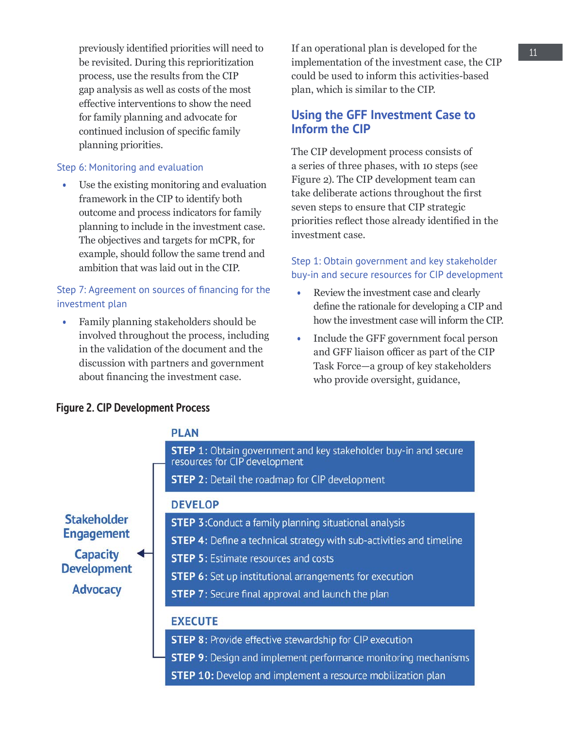previously identified priorities will need to be revisited. During this reprioritization process, use the results from the CIP gap analysis as well as costs of the most effective interventions to show the need for family planning and advocate for continued inclusion of specific family planning priorities.

#### Step 6: Monitoring and evaluation

• Use the existing monitoring and evaluation framework in the CIP to identify both outcome and process indicators for family planning to include in the investment case. The objectives and targets for mCPR, for example, should follow the same trend and ambition that was laid out in the CIP.

### Step 7: Agreement on sources of financing for the investment plan

• Family planning stakeholders should be involved throughout the process, including in the validation of the document and the discussion with partners and government about financing the investment case.

If an operational plan is developed for the implementation of the investment case, the CIP could be used to inform this activities-based plan, which is similar to the CIP.

## **Using the GFF Investment Case to Inform the CIP**

The CIP development process consists of a series of three phases, with 10 steps (see Figure 2). The CIP development team can take deliberate actions throughout the first seven steps to ensure that CIP strategic priorities reflect those already identified in the investment case.

## Step 1: Obtain government and key stakeholder buy-in and secure resources for CIP development

- Review the investment case and clearly define the rationale for developing a CIP and how the investment case will inform the CIP.
- Include the GFF government focal person and GFF liaison officer as part of the CIP Task Force—a group of key stakeholders who provide oversight, guidance,

## **PLAN STEP 1:** Obtain government and key stakeholder buy-in and secure resources for CIP development **STEP 2: Detail the roadmap for CIP development DEVELOP Stakeholder STEP 3: Conduct a family planning situational analysis Engagement STEP 4:** Define a technical strategy with sub-activities and timeline **Capacity STEP 5: Estimate resources and costs Development STEP 6:** Set up institutional arrangements for execution **Advocacy STEP 7:** Secure final approval and launch the plan **EXECUTE STEP 8:** Provide effective stewardship for CIP execution **STEP 9:** Design and implement performance monitoring mechanisms **STEP 10:** Develop and implement a resource mobilization plan

#### Figure 2. CIP Development Process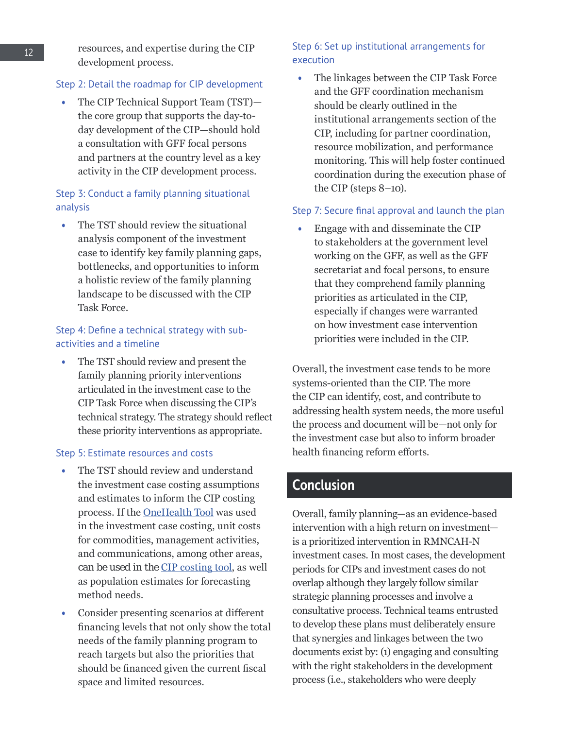#### Step 2: Detail the roadmap for CIP development

• The CIP Technical Support Team (TST) the core group that supports the day-today development of the CIP—should hold a consultation with GFF focal persons and partners at the country level as a key activity in the CIP development process.

## Step 3: Conduct a family planning situational analysis

• The TST should review the situational analysis component of the investment case to identify key family planning gaps, bottlenecks, and opportunities to inform a holistic review of the family planning landscape to be discussed with the CIP Task Force.

## Step 4: Define a technical strategy with subactivities and a timeline

• The TST should review and present the family planning priority interventions articulated in the investment case to the CIP Task Force when discussing the CIP's technical strategy. The strategy should reflect these priority interventions as appropriate.

#### Step 5: Estimate resources and costs

- The TST should review and understand the investment case costing assumptions and estimates to inform the CIP costing process. If the [OneHealth Tool](https://www.avenirhealth.org/software-onehealth) was used in the investment case costing, unit costs for commodities, management activities, and communications, among other areas, can be used in the [CIP costing tool](http://www.healthpolicyplus.com/pubs.cfm?get=2101), as well as population estimates for forecasting method needs.
- Consider presenting scenarios at different financing levels that not only show the total needs of the family planning program to reach targets but also the priorities that should be financed given the current fiscal space and limited resources.

## Step 6: Set up institutional arrangements for execution

• The linkages between the CIP Task Force and the GFF coordination mechanism should be clearly outlined in the institutional arrangements section of the CIP, including for partner coordination, resource mobilization, and performance monitoring. This will help foster continued coordination during the execution phase of the CIP (steps 8–10).

#### Step 7: Secure final approval and launch the plan

• Engage with and disseminate the CIP to stakeholders at the government level working on the GFF, as well as the GFF secretariat and focal persons, to ensure that they comprehend family planning priorities as articulated in the CIP, especially if changes were warranted on how investment case intervention priorities were included in the CIP.

Overall, the investment case tends to be more systems-oriented than the CIP. The more the CIP can identify, cost, and contribute to addressing health system needs, the more useful the process and document will be—not only for the investment case but also to inform broader health financing reform efforts.

# Conclusion

Overall, family planning—as an evidence-based intervention with a high return on investment is a prioritized intervention in RMNCAH-N investment cases. In most cases, the development periods for CIPs and investment cases do not overlap although they largely follow similar strategic planning processes and involve a consultative process. Technical teams entrusted to develop these plans must deliberately ensure that synergies and linkages between the two documents exist by: (1) engaging and consulting with the right stakeholders in the development process (i.e., stakeholders who were deeply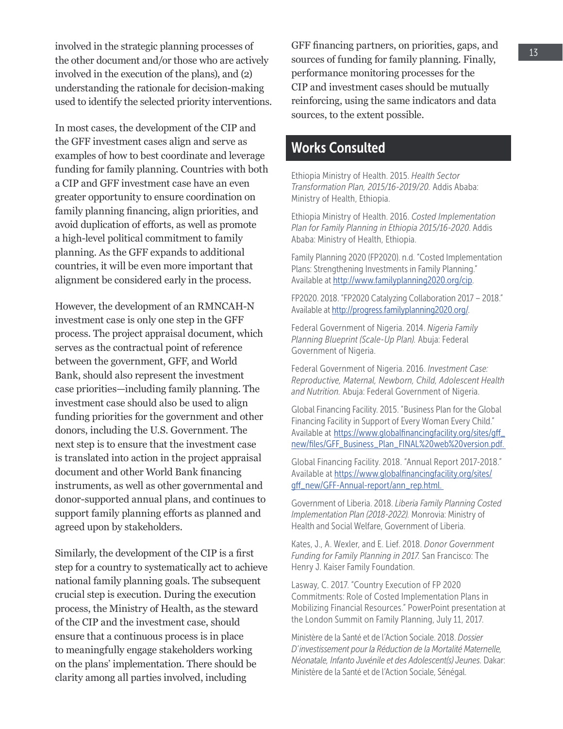involved in the strategic planning processes of the other document and/or those who are actively involved in the execution of the plans), and (2) understanding the rationale for decision-making used to identify the selected priority interventions.

In most cases, the development of the CIP and the GFF investment cases align and serve as examples of how to best coordinate and leverage funding for family planning. Countries with both a CIP and GFF investment case have an even greater opportunity to ensure coordination on family planning financing, align priorities, and avoid duplication of efforts, as well as promote a high-level political commitment to family planning. As the GFF expands to additional countries, it will be even more important that alignment be considered early in the process.

However, the development of an RMNCAH-N investment case is only one step in the GFF process. The project appraisal document, which serves as the contractual point of reference between the government, GFF, and World Bank, should also represent the investment case priorities—including family planning. The investment case should also be used to align funding priorities for the government and other donors, including the U.S. Government. The next step is to ensure that the investment case is translated into action in the project appraisal document and other World Bank financing instruments, as well as other governmental and donor-supported annual plans, and continues to support family planning efforts as planned and agreed upon by stakeholders.

Similarly, the development of the CIP is a first step for a country to systematically act to achieve national family planning goals. The subsequent crucial step is execution. During the execution process, the Ministry of Health, as the steward of the CIP and the investment case, should ensure that a continuous process is in place to meaningfully engage stakeholders working on the plans' implementation. There should be clarity among all parties involved, including

GFF financing partners, on priorities, gaps, and sources of funding for family planning. Finally, performance monitoring processes for the CIP and investment cases should be mutually reinforcing, using the same indicators and data sources, to the extent possible.

## Works Consulted

Ethiopia Ministry of Health. 2015. *Health Sector Transformation Plan, 2015/16-2019/20.* Addis Ababa: Ministry of Health, Ethiopia.

Ethiopia Ministry of Health. 2016. *Costed Implementation Plan for Family Planning in Ethiopia 2015/16-2020*. Addis Ababa: Ministry of Health, Ethiopia.

Family Planning 2020 (FP2020). n.d. "Costed Implementation Plans: Strengthening Investments in Family Planning." Available at [http://www.familyplanning2020.org/cip.](http://www.familyplanning2020.org/cip)

FP2020. 2018. "FP2020 Catalyzing Collaboration 2017 – 2018." Available at<http://progress.familyplanning2020.org/>.

Federal Government of Nigeria. 2014. *Nigeria Family Planning Blueprint (Scale-Up Plan).* Abuja: Federal Government of Nigeria.

Federal Government of Nigeria. 2016. *Investment Case: Reproductive, Maternal, Newborn, Child, Adolescent Health and Nutrition.* Abuja: Federal Government of Nigeria.

Global Financing Facility. 2015. "Business Plan for the Global Financing Facility in Support of Every Woman Every Child." Available at https://www.globalfinancingfacility.org/sites/qff\_ [new/files/GFF\\_Business\\_Plan\\_FINAL%20web%20version.pdf.](https://www.globalfinancingfacility.org/sites/gff_new/files/GFF_Business_Plan_FINAL%20web%20version.pdf) 

Global Financing Facility. 2018. "Annual Report 2017-2018." Available at [https://www.globalfinancingfacility.org/sites/](https://www.globalfinancingfacility.org/sites/gff_new/GFF-Annual-report/ann_rep.html) [gff\\_new/GFF-Annual-report/ann\\_rep.html.](https://www.globalfinancingfacility.org/sites/gff_new/GFF-Annual-report/ann_rep.html) 

Government of Liberia. 2018. *Liberia Family Planning Costed Implementation Plan (2018-2022).* Monrovia: Ministry of Health and Social Welfare, Government of Liberia.

Kates, J., A. Wexler, and E. Lief. 2018. *Donor Government Funding for Family Planning in 2017.* San Francisco: The Henry J. Kaiser Family Foundation.

Lasway, C. 2017. "Country Execution of FP 2020 Commitments: Role of Costed Implementation Plans in Mobilizing Financial Resources." PowerPoint presentation at the London Summit on Family Planning, July 11, 2017.

Ministère de la Santé et de l'Action Sociale. 2018. *Dossier D'investissement pour la Réduction de la Mortalité Maternelle, Néonatale, Infanto Juvénile et des Adolescent(s) Jeunes.* Dakar: Ministère de la Santé et de l'Action Sociale, Sénégal.